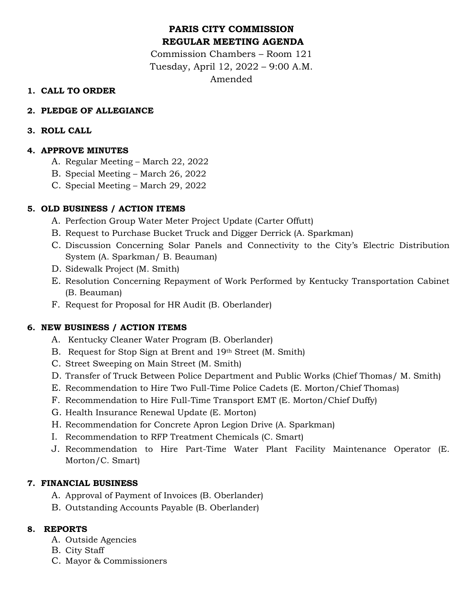# **PARIS CITY COMMISSION REGULAR MEETING AGENDA**

Commission Chambers – Room 121 Tuesday, April 12, 2022 – 9:00 A.M. Amended

# **1. CALL TO ORDER**

# **2. PLEDGE OF ALLEGIANCE**

### **3. ROLL CALL**

# **4. APPROVE MINUTES**

- A. Regular Meeting March 22, 2022
- B. Special Meeting March 26, 2022
- C. Special Meeting March 29, 2022

### **5. OLD BUSINESS / ACTION ITEMS**

- A. Perfection Group Water Meter Project Update (Carter Offutt)
- B. Request to Purchase Bucket Truck and Digger Derrick (A. Sparkman)
- C. Discussion Concerning Solar Panels and Connectivity to the City's Electric Distribution System (A. Sparkman/ B. Beauman)
- D. Sidewalk Project (M. Smith)
- E. Resolution Concerning Repayment of Work Performed by Kentucky Transportation Cabinet (B. Beauman)
- F. Request for Proposal for HR Audit (B. Oberlander)

# **6. NEW BUSINESS / ACTION ITEMS**

- A. Kentucky Cleaner Water Program (B. Oberlander)
- B. Request for Stop Sign at Brent and 19th Street (M. Smith)
- C. Street Sweeping on Main Street (M. Smith)
- D. Transfer of Truck Between Police Department and Public Works (Chief Thomas/ M. Smith)
- E. Recommendation to Hire Two Full-Time Police Cadets (E. Morton/Chief Thomas)
- F. Recommendation to Hire Full-Time Transport EMT (E. Morton/Chief Duffy)
- G. Health Insurance Renewal Update (E. Morton)
- H. Recommendation for Concrete Apron Legion Drive (A. Sparkman)
- I. Recommendation to RFP Treatment Chemicals (C. Smart)
- J. Recommendation to Hire Part-Time Water Plant Facility Maintenance Operator (E. Morton/C. Smart)

#### **7. FINANCIAL BUSINESS**

- A. Approval of Payment of Invoices (B. Oberlander)
- B. Outstanding Accounts Payable (B. Oberlander)

#### **8. REPORTS**

- A. Outside Agencies
- B. City Staff
- C. Mayor & Commissioners